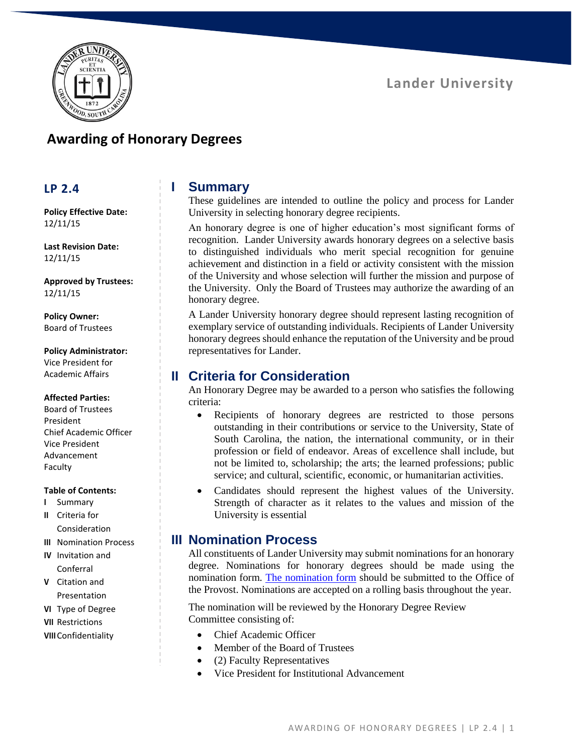

**Lander University**

# **Awarding of Honorary Degrees**

#### **LP 2.4**

**Policy Effective Date:** 12/11/15

**Last Revision Date:** 12/11/15

**Approved by Trustees:** 12/11/15

**Policy Owner:** Board of Trustees

#### **Policy Administrator:**

Vice President for Academic Affairs

#### **Affected Parties:**

Board of Trustees President Chief Academic Officer Vice President Advancement Faculty

#### **Table of Contents:**

- **I** Summary
- **II** Criteria for Consideration
- **III** Nomination Process
- **IV** Invitation and Conferral
- **V** Citation and Presentation
- **VI** Type of Degree
- **VII** Restrictions
- **VIII** Confidentiality

### **I Summary**

These guidelines are intended to outline the policy and process for Lander University in selecting honorary degree recipients.

An honorary degree is one of higher education's most significant forms of recognition. Lander University awards honorary degrees on a selective basis to distinguished individuals who merit special recognition for genuine achievement and distinction in a field or activity consistent with the mission of the University and whose selection will further the mission and purpose of the University. Only the Board of Trustees may authorize the awarding of an honorary degree.

A Lander University honorary degree should represent lasting recognition of exemplary service of outstanding individuals. Recipients of Lander University honorary degrees should enhance the reputation of the University and be proud representatives for Lander.

# **II Criteria for Consideration**

An Honorary Degree may be awarded to a person who satisfies the following criteria:

- Recipients of honorary degrees are restricted to those persons outstanding in their contributions or service to the University, State of South Carolina, the nation, the international community, or in their profession or field of endeavor. Areas of excellence shall include, but not be limited to, scholarship; the arts; the learned professions; public service; and cultural, scientific, economic, or humanitarian activities.
- Candidates should represent the highest values of the University. Strength of character as it relates to the values and mission of the University is essential

# **III Nomination Process**

All constituents of Lander University may submit nominations for an honorary degree. Nominations for honorary degrees should be made using the nomination form. [The nomination form](https://www.lander.edu/sites/lander/files/Documents/About/Leadership/Policies/Honorary_Degree_Nomination_Form.pdf) should be submitted to the Office of the Provost. Nominations are accepted on a rolling basis throughout the year.

The nomination will be reviewed by the Honorary Degree Review Committee consisting of:

- Chief Academic Officer
- Member of the Board of Trustees
- (2) Faculty Representatives
- Vice President for Institutional Advancement